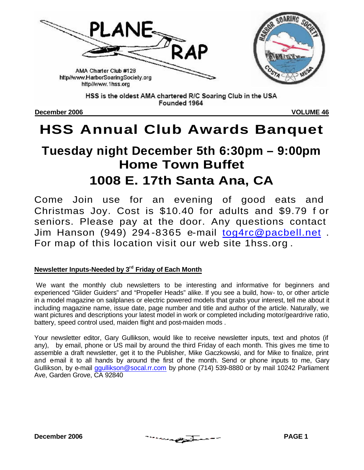

Founded 1964

**December 2006 VOLUME 46**

# **HSS Annual Club Awards Banquet**

# **Tuesday night December 5th 6:30pm – 9:00pm Home Town Buffet 1008 E. 17th Santa Ana, CA**

Come Join use for an evening of good eats and Christmas Joy. Cost is \$10.40 for adults and \$9.79 f or seniors. Please pay at the door. Any questions contact Jim Hanson (949) 294 -8365 e-mail tog4rc@pacbell.net . For map of this location visit our web site 1hss.org .

## **Newsletter Inputs-Needed by 3rd Friday of Each Month**

 We want the monthly club newsletters to be interesting and informative for beginners and experienced "Glider Guiders" and "Propeller Heads" alike. If you see a build, how- to, or other article in a model magazine on sailplanes or electric powered models that grabs your interest, tell me about it including magazine name, issue date, page number and title and author of the article. Naturally, we want pictures and descriptions your latest model in work or completed including motor/geardrive ratio, battery, speed control used, maiden flight and post-maiden mods .

Your newsletter editor, Gary Gullikson, would like to receive newsletter inputs, text and photos (if any), by email, phone or US mail by around the third Friday of each month. This gives me time to assemble a draft newsletter, get it to the Publisher, Mike Gaczkowski, and for Mike to finalize, print and e-mail it to all hands by around the first of the month. Send or phone inputs to me, Gary Gullikson, by e-mail ggullikson@socal.rr.com by phone (714) 539-8880 or by mail 10242 Parliament Ave, Garden Grove, CA 92840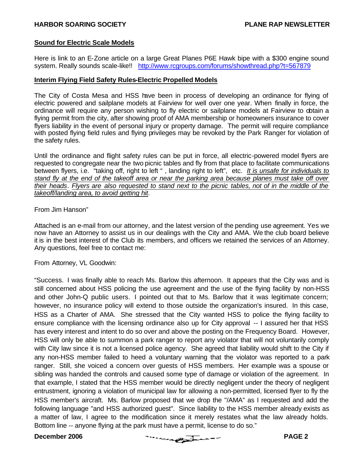#### **Sound for Electric Scale Models**

Here is link to an E-Zone article on a large Great Planes P6E Hawk bipe with a \$300 engine sound system. Really sounds scale-like!! http://www.rcgroups.com/forums/showthread.php?t=567879

#### **Interim Flying Field Safety Rules-Electric Propelled Models**

The City of Costa Mesa and HSS have been in process of developing an ordinance for flying of electric powered and sailplane models at Fairview for well over one year. When finally in force, the ordinance will require any person wishing to fly electric or sailplane models at Fairview to obtain a flying permit from the city, after showing proof of AMA membership or homeowners insurance to cover flyers liability in the event of personal injury or property damage. The permit will require compliance with posted flying field rules and flying privileges may be revoked by the Park Ranger for violation of the safety rules.

Until the ordinance and flight safety rules can be put in force, all electric-powered model flyers are requested to congregate near the two picnic tables and fly from that place to facilitate communications between flyers, i.e. "taking off, right to left " , landing right to left", etc. *It is unsafe for individuals to stand fly at the end of the takeoff area or near the parking area because planes must take off over their heads*. *Flyers are also requested to stand next to the picnic tables, not of in the middle of the takeoff/landing area, to avoid getting hit*.

#### From Jim Hanson"

Attached is an e-mail from our attorney, and the latest version of the pending use agreement. Yes we now have an Attorney to assist us in our dealings with the City and AMA. We the club board believe it is in the best interest of the Club its members, and officers we retained the services of an Attorney. Any questions, feel free to contact me:

From Attorney, VL Goodwin:

"Success. I was finally able to reach Ms. Barlow this afternoon. It appears that the City was and is still concerned about HSS policing the use agreement and the use of the flying facility by non-HSS and other John-Q public users. I pointed out that to Ms. Barlow that it was legitimate concern; however, no insurance policy will extend to those outside the organization's insured. In this case, HSS as a Charter of AMA. She stressed that the City wanted HSS to police the flying facility to ensure compliance with the licensing ordinance also up for City approval -- I assured her that HSS has every interest and intent to do so over and above the posting on the Frequency Board. However, HSS will only be able to summon a park ranger to report any violator that will not voluntarily comply with City law since it is not a licensed police agency. She agreed that liability would shift to the City if any non-HSS member failed to heed a voluntary warning that the violator was reported to a park ranger. Still, she voiced a concern over guests of HSS members. Her example was a spouse or sibling was handed the controls and caused some type of damage or violation of the agreement. In that example, I stated that the HSS member would be directly negligent under the theory of negligent entrustment, ignoring a violation of municipal law for allowing a non-permitted, licensed flyer to fly the HSS member's aircraft. Ms. Barlow proposed that we drop the "/AMA" as I requested and add the following language "and HSS authorized guest". Since liability to the HSS member already exists as a matter of law, I agree to the modification since it merely restates what the law already holds. Bottom line -- anyone flying at the park must have a permit, license to do so."

PAGE 2 **PAGE 2**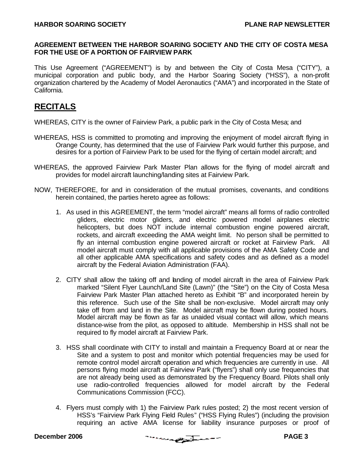#### **AGREEMENT BETWEEN THE HARBOR SOARING SOCIETY AND THE CITY OF COSTA MESA FOR THE USE OF A PORTION OF FAIRVIEW PARK**

This Use Agreement ("AGREEMENT") is by and between the City of Costa Mesa ("CITY"), a municipal corporation and public body, and the Harbor Soaring Society ("HSS"), a non-profit organization chartered by the Academy of Model Aeronautics ("AMA") and incorporated in the State of California.

## **RECITALS**

WHEREAS, CITY is the owner of Fairview Park, a public park in the City of Costa Mesa; and

- WHEREAS, HSS is committed to promoting and improving the enjoyment of model aircraft flying in Orange County, has determined that the use of Fairview Park would further this purpose, and desires for a portion of Fairview Park to be used for the flying of certain model aircraft; and
- WHEREAS, the approved Fairview Park Master Plan allows for the flying of model aircraft and provides for model aircraft launching/landing sites at Fairview Park.
- NOW, THEREFORE, for and in consideration of the mutual promises, covenants, and conditions herein contained, the parties hereto agree as follows:
	- 1. As used in this AGREEMENT, the term "model aircraft" means all forms of radio controlled gliders, electric motor gliders, and electric powered model airplanes electric helicopters, but does NOT include internal combustion engine powered aircraft, rockets, and aircraft exceeding the AMA weight limit. No person shall be permitted to fly an internal combustion engine powered aircraft or rocket at Fairview Park. All model aircraft must comply with all applicable provisions of the AMA Safety Code and all other applicable AMA specifications and safety codes and as defined as a model aircraft by the Federal Aviation Administration (FAA).
	- 2. CITY shall allow the taking off and landing of model aircraft in the area of Fairview Park marked "Silent Flyer Launch/Land Site (Lawn)" (the "Site") on the City of Costa Mesa Fairview Park Master Plan attached hereto as Exhibit "B" and incorporated herein by this reference. Such use of the Site shall be non-exclusive. Model aircraft may only take off from and land in the Site. Model aircraft may be flown during posted hours. Model aircraft may be flown as far as unaided visual contact will allow, which means distance-wise from the pilot, as opposed to altitude. Membership in HSS shall not be required to fly model aircraft at Fairview Park.
	- 3. HSS shall coordinate with CITY to install and maintain a Frequency Board at or near the Site and a system to post and monitor which potential frequencies may be used for remote control model aircraft operation and which frequencies are currently in use. All persons flying model aircraft at Fairview Park ("flyers") shall only use frequencies that are not already being used as demonstrated by the Frequency Board. Pilots shall only use radio-controlled frequencies allowed for model aircraft by the Federal Communications Commission (FCC).
	- 4. Flyers must comply with 1) the Fairview Park rules posted; 2) the most recent version of HSS's "Fairview Park Flying Field Rules" ("HSS Flying Rules") (including the provision requiring an active AMA license for liability insurance purposes or proof of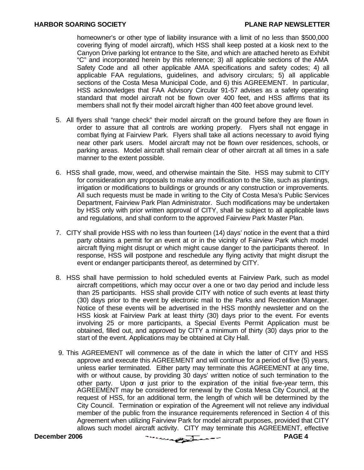homeowner's or other type of liability insurance with a limit of no less than \$500,000 covering flying of model aircraft), which HSS shall keep posted at a kiosk next to the Canyon Drive parking lot entrance to the Site, and which are attached hereto as Exhibit "C" and incorporated herein by this reference; 3) all applicable sections of the AMA Safety Code and all other applicable AMA specifications and safety codes; 4) all applicable FAA regulations, guidelines, and advisory circulars; 5) all applicable sections of the Costa Mesa Municipal Code, and 6) this AGREEMENT. In particular, HSS acknowledges that FAA Advisory Circular 91-57 advises as a safety operating standard that model aircraft not be flown over 400 feet, and HSS affirms that its members shall not fly their model aircraft higher than 400 feet above ground level.

- 5. All flyers shall "range check" their model aircraft on the ground before they are flown in order to assure that all controls are working properly. Flyers shall not engage in combat flying at Fairview Park. Flyers shall take all actions necessary to avoid flying near other park users. Model aircraft may not be flown over residences, schools, or parking areas. Model aircraft shall remain clear of other aircraft at all times in a safe manner to the extent possible.
- 6. HSS shall grade, mow, weed, and otherwise maintain the Site. HSS may submit to CITY for consideration any proposals to make any modification to the Site, such as plantings, irrigation or modifications to buildings or grounds or any construction or improvements. All such requests must be made in writing to the City of Costa Mesa's Public Services Department, Fairview Park Plan Administrator. Such modifications may be undertaken by HSS only with prior written approval of CITY, shall be subject to all applicable laws and regulations, and shall conform to the approved Fairview Park Master Plan.
- 7. CITY shall provide HSS with no less than fourteen (14) days' notice in the event that a third party obtains a permit for an event at or in the vicinity of Fairview Park which model aircraft flying might disrupt or which might cause danger to the participants thereof. In response, HSS will postpone and reschedule any flying activity that might disrupt the event or endanger participants thereof, as determined by CITY.
- 8. HSS shall have permission to hold scheduled events at Fairview Park, such as model aircraft competitions, which may occur over a one or two day period and include less than 25 participants. HSS shall provide CITY with notice of such events at least thirty (30) days prior to the event by electronic mail to the Parks and Recreation Manager. Notice of these events will be advertised in the HSS monthly newsletter and on the HSS kiosk at Fairview Park at least thirty (30) days prior to the event. For events involving 25 or more participants, a Special Events Permit Application must be obtained, filled out, and approved by CITY a minimum of thirty (30) days prior to the start of the event. Applications may be obtained at City Hall.
- 9. This AGREEMENT will commence as of the date in which the latter of CITY and HSS approve and execute this AGREEMENT and will continue for a period of five (5) years, unless earlier terminated. Either party may terminate this AGREEMENT at any time, with or without cause, by providing 30 days' written notice of such termination to the other party. Upon or just prior to the expiration of the initial five-year term, this AGREEMENT may be considered for renewal by the Costa Mesa City Council, at the request of HSS, for an additional term, the length of which will be determined by the City Council. Termination or expiration of the Agreement will not relieve any individual member of the public from the insurance requirements referenced in Section 4 of this Agreement when utilizing Fairview Park for model aircraft purposes, provided that CITY allows such model aircraft activity. CITY may terminate this AGREEMENT, effective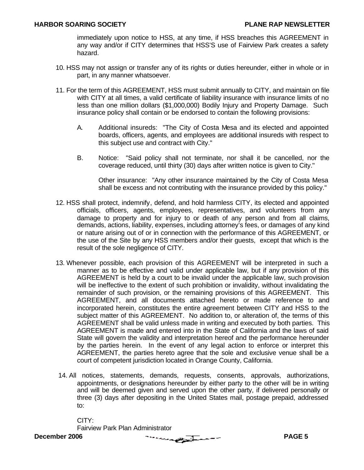immediately upon notice to HSS, at any time, if HSS breaches this AGREEMENT in any way and/or if CITY determines that HSS'S use of Fairview Park creates a safety hazard.

- 10. HSS may not assign or transfer any of its rights or duties hereunder, either in whole or in part, in any manner whatsoever.
- 11. For the term of this AGREEMENT, HSS must submit annually to CITY, and maintain on file with CITY at all times, a valid certificate of liability insurance with insurance limits of no less than one million dollars (\$1,000,000) Bodily Injury and Property Damage. Such insurance policy shall contain or be endorsed to contain the following provisions:
	- A. Additional insureds: "The City of Costa Mesa and its elected and appointed boards, officers, agents, and employees are additional insureds with respect to this subject use and contract with City."
	- B. Notice: "Said policy shall not terminate, nor shall it be cancelled, nor the coverage reduced, until thirty (30) days after written notice is given to City."

Other insurance: "Any other insurance maintained by the City of Costa Mesa shall be excess and not contributing with the insurance provided by this policy."

- 12. HSS shall protect, indemnify, defend, and hold harmless CITY, its elected and appointed officials, officers, agents, employees, representatives, and volunteers from any damage to property and for injury to or death of any person and from all claims, demands, actions, liability, expenses, including attorney's fees, or damages of any kind or nature arising out of or in connection with the performance of this AGREEMENT, or the use of the Site by any HSS members and/or their guests, except that which is the result of the sole negligence of CITY.
- 13. Whenever possible, each provision of this AGREEMENT will be interpreted in such a manner as to be effective and valid under applicable law, but if any provision of this AGREEMENT is held by a court to be invalid under the applicable law, such provision will be ineffective to the extent of such prohibition or invalidity, without invalidating the remainder of such provision, or the remaining provisions of this AGREEMENT. This AGREEMENT, and all documents attached hereto or made reference to and incorporated herein, constitutes the entire agreement between CITY and HSS to the subject matter of this AGREEMENT. No addition to, or alteration of, the terms of this AGREEMENT shall be valid unless made in writing and executed by both parties. This AGREEMENT is made and entered into in the State of California and the laws of said State will govern the validity and interpretation hereof and the performance hereunder by the parties herein. In the event of any legal action to enforce or interpret this AGREEMENT, the parties hereto agree that the sole and exclusive venue shall be a court of competent jurisdiction located in Orange County, California.
- 14. All notices, statements, demands, requests, consents, approvals, authorizations, appointments, or designations hereunder by either party to the other will be in writing and will be deemed given and served upon the other party, if delivered personally or three (3) days after depositing in the United States mail, postage prepaid, addressed to:

CITY: Fairview Park Plan Administrator

**December 2006 PAGE 5**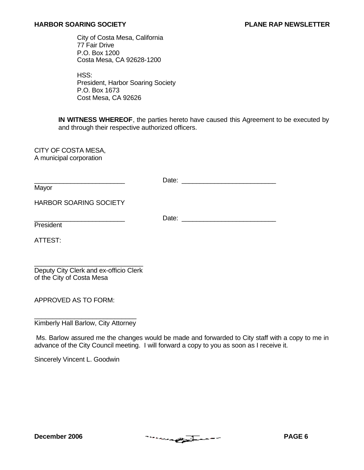City of Costa Mesa, California 77 Fair Drive P.O. Box 1200 Costa Mesa, CA 92628-1200

HSS: President, Harbor Soaring Society P.O. Box 1673 Cost Mesa, CA 92626

**IN WITNESS WHEREOF**, the parties hereto have caused this Agreement to be executed by and through their respective authorized officers.

CITY OF COSTA MESA, A municipal corporation

|                        | Date: |
|------------------------|-------|
| Mayor                  |       |
| HARBOR SOARING SOCIETY |       |
| President              | Date: |
| ATTEST:                |       |
|                        |       |

Deputy City Clerk and ex-officio Clerk of the City of Costa Mesa

APPROVED AS TO FORM:

\_\_\_\_\_\_\_\_\_\_\_\_\_\_\_\_\_\_\_\_\_\_\_\_\_\_\_\_ Kimberly Hall Barlow, City Attorney

Ms. Barlow assured me the changes would be made and forwarded to City staff with a copy to me in advance of the City Council meeting. I will forward a copy to you as soon as I receive it.

Sincerely Vincent L. Goodwin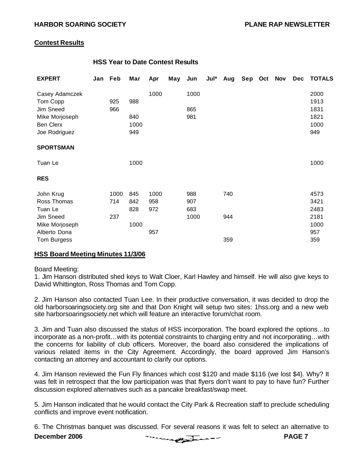#### **Contest Results**

#### **HSS Year to Date Contest Results**

| <b>EXPERT</b>    | Jan | Feb  | Mar  | Apr  | May | Jun  | Jul* | Aug | Sep Oct | <b>Nov</b> | <b>Dec</b> | <b>TOTALS</b> |
|------------------|-----|------|------|------|-----|------|------|-----|---------|------------|------------|---------------|
| Casey Adamczek   |     |      |      | 1000 |     | 1000 |      |     |         |            |            | 2000          |
| Tom Copp         |     | 925  | 988  |      |     |      |      |     |         |            |            | 1913          |
| Jim Sneed        |     | 966  |      |      |     | 865  |      |     |         |            |            | 1831          |
| Mike Morjoseph   |     |      | 840  |      |     | 981  |      |     |         |            |            | 1821          |
| <b>Ben Clerx</b> |     |      | 1000 |      |     |      |      |     |         |            |            | 1000          |
| Joe Rodriguez    |     |      | 949  |      |     |      |      |     |         |            |            | 949           |
| <b>SPORTSMAN</b> |     |      |      |      |     |      |      |     |         |            |            |               |
| Tuan Le          |     |      | 1000 |      |     |      |      |     |         |            |            | 1000          |
| <b>RES</b>       |     |      |      |      |     |      |      |     |         |            |            |               |
| John Krug        |     | 1000 | 845  | 1000 |     | 988  |      | 740 |         |            |            | 4573          |
| Ross Thomas      |     | 714  | 842  | 958  |     | 907  |      |     |         |            |            | 3421          |
| Tuan Le          |     |      | 828  | 972  |     | 683  |      |     |         |            |            | 2483          |
| Jim Sneed        |     | 237  |      |      |     | 1000 |      | 944 |         |            |            | 2181          |
| Mike Morjoseph   |     |      | 1000 |      |     |      |      |     |         |            |            | 1000          |
| Alberto Dona     |     |      |      | 957  |     |      |      |     |         |            |            | 957           |
| Tom Burgess      |     |      |      |      |     |      |      | 359 |         |            |            | 359           |

#### **HSS Board Meeting Minutes 11/3/06**

#### Board Meeting:

1. Jim Hanson distributed shed keys to Walt Cloer, Karl Hawley and himself. He will also give keys to David Whittington, Ross Thomas and Tom Copp.

2. Jim Hanson also contacted Tuan Lee. In their productive conversation, it was decided to drop the old harborsoaringsociety.org site and that Don Knight will setup two sites: 1hss.org and a new web site harborsoaringsociety.net which will feature an interactive forum/chat room.

3. Jim and Tuan also discussed the status of HSS incorporation. The board explored the options…to incorporate as a non-profit…with its potential constraints to charging entry and not incorporating…with the concerns for liability of club officers. Moreover, the board also considered the implications of various related items in the City Agreement. Accordingly, the board approved Jim Hanson's contacting an attorney and accountant to clarify our options.

4. Jim Hanson reviewed the Fun Fly finances which cost \$120 and made \$116 (we lost \$4). Why? It was felt in retrospect that the low participation was that flyers don't want to pay to have fun? Further discussion explored alternatives such as a pancake breakfast/swap meet.

5. Jim Hanson indicated that he would contact the City Park & Recreation staff to preclude scheduling conflicts and improve event notification.

6. The Christmas banquet was discussed. For several reasons it was felt to select an alternative to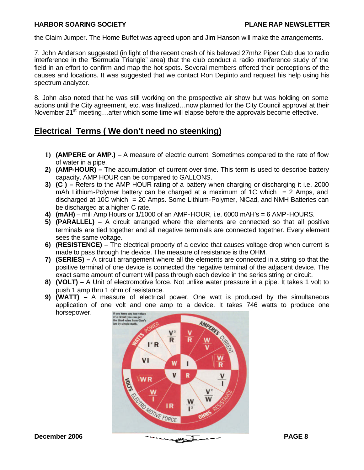the Claim Jumper. The Home Buffet was agreed upon and Jim Hanson will make the arrangements.

7. John Anderson suggested (in light of the recent crash of his beloved 27mhz Piper Cub due to radio interference in the "Bermuda Triangle" area) that the club conduct a radio interference study of the field in an effort to confirm and map the hot spots. Several members offered their perceptions of the causes and locations. It was suggested that we contact Ron Depinto and request his help using his spectrum analyzer.

8. John also noted that he was still working on the prospective air show but was holding on some actions until the City agreement, etc. was finalized…now planned for the City Council approval at their November  $21^{st}$  meeting...after which some time will elapse before the approvals become effective.

### **Electrical Terms ( We don't need no steenking)**

- **1) (AMPERE or AMP.)** A measure of electric current. Sometimes compared to the rate of flow of water in a pipe.
- **2) (AMP-HOUR) –** The accumulation of current over time. This term is used to describe battery capacity. AMP HOUR can be compared to GALLONS.
- **3) (C ) –** Refers to the AMP HOUR rating of a battery when charging or discharging it i.e. 2000 mAh Lithium-Polymer battery can be charged at a maximum of 1C which  $= 2$  Amps, and discharged at 10C which = 20 Amps. Some Lithium-Polymer, NiCad, and NMH Batteries can be discharged at a higher C rate.
- **4) (mAH)**  mili Amp Hours or 1/1000 of an AMP-HOUR, i.e. 6000 mAH's = 6 AMP-HOURS.
- **5) (PARALLEL) –** A circuit arranged where the elements are connected so that all positive terminals are tied together and all negative terminals are connected together. Every element sees the same voltage.
- **6) (RESISTENCE) –** The electrical property of a device that causes voltage drop when current is made to pass through the device. The measure of resistance is the OHM.
- **7) (SERIES) –** A circuit arrangement where all the elements are connected in a string so that the positive terminal of one device is connected the negative terminal of the adjacent device. The exact same amount of current will pass through each device in the series string or circuit.
- **8) (VOLT) –** A Unit of electromotive force. Not unlike water pressure in a pipe. It takes 1 volt to push 1 amp thru 1 ohm of resistance.
- **9) (WATT) –** A measure of electrical power. One watt is produced by the simultaneous application of one volt and one amp to a device. It takes 746 watts to produce one horsepower.

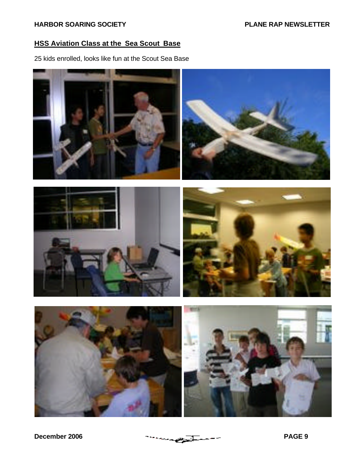#### **HSS Aviation Class at the Sea Scout Base**

25 kids enrolled, looks like fun at the Scout Sea Base



**December 2006** PAGE 9 PAGE 9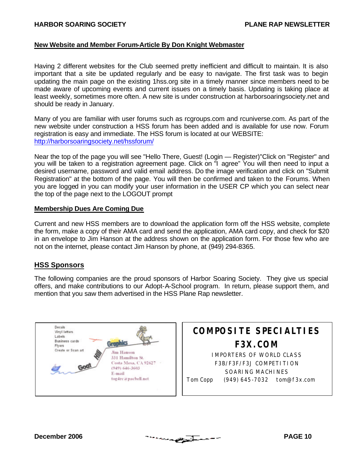#### **New Website and Member Forum-Article By Don Knight Webmaster**

Having 2 different websites for the Club seemed pretty inefficient and difficult to maintain. It is also important that a site be updated regularly and be easy to navigate. The first task was to begin updating the main page on the existing 1hss.org site in a timely manner since members need to be made aware of upcoming events and current issues on a timely basis. Updating is taking place at least weekly, sometimes more often. A new site is under construction at harborsoaringsociety.net and should be ready in January.

Many of you are familiar with user forums such as rcgroups.com and rcuniverse.com. As part of the new website under construction a HSS forum has been added and is available for use now. Forum registration is easy and immediate. The HSS forum is located at our WEBSITE: http://harborsoaringsociety.net/hssforum/

Near the top of the page you will see "Hello There, Guest! (Login — Register)"Click on "Register" and you will be taken to a registration agreement page. Click on "I agree" You will then need to input a desired username, password and valid email address. Do the image verification and click on "Submit Registration" at the bottom of the page. You will then be confirmed and taken to the Forums. When you are logged in you can modify your user information in the USER CP which you can select near the top of the page next to the LOGOUT prompt

#### **Membership Dues Are Coming Due**

Current and new HSS members are to download the application form off the HSS website, complete the form, make a copy of their AMA card and send the application, AMA card copy, and check for \$20 in an envelope to Jim Hanson at the address shown on the application form. For those few who are not on the internet, please contact Jim Hanson by phone, at (949) 294-8365.

#### **HSS Sponsors**

The following companies are the proud sponsors of Harbor Soaring Society. They give us special offers, and make contributions to our Adopt-A-School program. In return, please support them, and mention that you saw them advertised in the HSS Plane Rap newsletter.



## **COMPOSITE SPECIALTIES F3X.COM** IMPORTERS OF WORLD CLASS

F3B/F3F/F3J COMPETITION SOARING MACHINES Tom Copp (949) 645-7032 tom@f3x.com

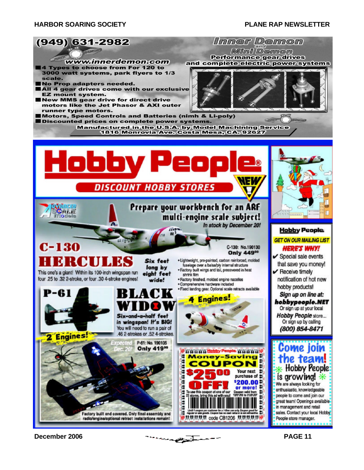